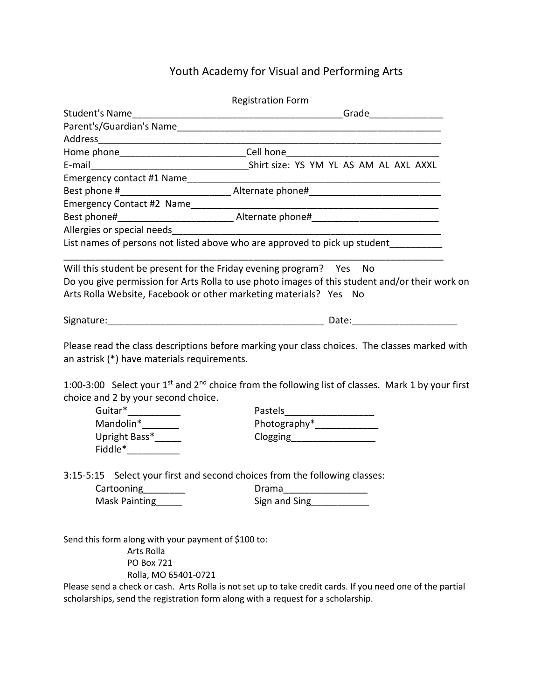## Youth Academy for Visual and Performing Arts

| <b>Registration Form</b>                                                                                       |                                                                                                                                                                                                                                            |
|----------------------------------------------------------------------------------------------------------------|--------------------------------------------------------------------------------------------------------------------------------------------------------------------------------------------------------------------------------------------|
| <b>Student's Name</b>                                                                                          |                                                                                                                                                                                                                                            |
|                                                                                                                |                                                                                                                                                                                                                                            |
|                                                                                                                |                                                                                                                                                                                                                                            |
|                                                                                                                | Home phone________________________________Cell hone_____________________________                                                                                                                                                           |
|                                                                                                                |                                                                                                                                                                                                                                            |
|                                                                                                                |                                                                                                                                                                                                                                            |
|                                                                                                                |                                                                                                                                                                                                                                            |
|                                                                                                                |                                                                                                                                                                                                                                            |
|                                                                                                                |                                                                                                                                                                                                                                            |
|                                                                                                                |                                                                                                                                                                                                                                            |
|                                                                                                                | List names of persons not listed above who are approved to pick up student________                                                                                                                                                         |
|                                                                                                                | Will this student be present for the Friday evening program? Yes No<br>Do you give permission for Arts Rolla to use photo images of this student and/or their work on<br>Arts Rolla Website, Facebook or other marketing materials? Yes No |
|                                                                                                                |                                                                                                                                                                                                                                            |
| an astrisk (*) have materials requirements.<br>choice and 2 by your second choice.                             | Please read the class descriptions before marking your class choices. The classes marked with<br>1:00-3:00 Select your 1 <sup>st</sup> and 2 <sup>nd</sup> choice from the following list of classes. Mark 1 by your first                 |
|                                                                                                                |                                                                                                                                                                                                                                            |
| Mandolin*_______                                                                                               | Photography*_______________                                                                                                                                                                                                                |
| Upright Bass*______<br>$Fiddle^*$                                                                              | Clogging___________________                                                                                                                                                                                                                |
| Cartooning<br>Mask Painting                                                                                    | 3:15-5:15 Select your first and second choices from the following classes:<br>Drama<br>Sign and Sing<br>Sign and Sing                                                                                                                      |
| Send this form along with your payment of \$100 to:<br>Arts Rolla<br><b>PO Box 721</b><br>Rolla, MO 65401-0721 |                                                                                                                                                                                                                                            |

Please send a check or cash. Arts Rolla is not set up to take credit cards. If you need one of the partial scholarships, send the registration form along with a request for a scholarship.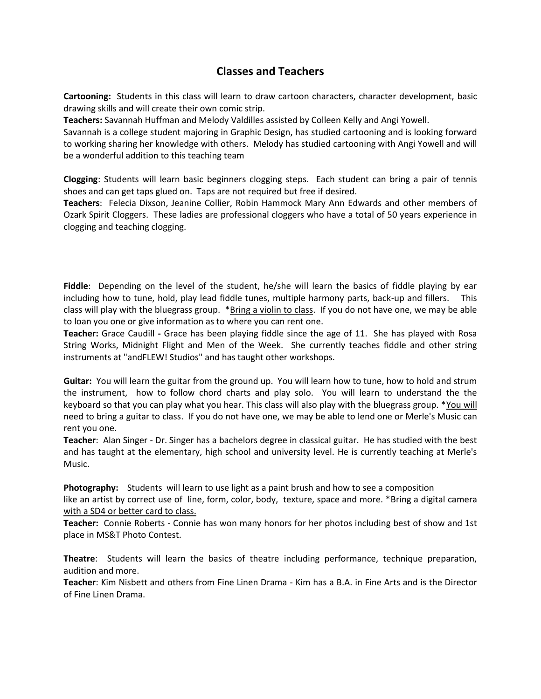## **Classes and Teachers**

**Cartooning:** Students in this class will learn to draw cartoon characters, character development, basic drawing skills and will create their own comic strip.

**Teachers:** Savannah Huffman and Melody Valdilles assisted by Colleen Kelly and Angi Yowell.

Savannah is a college student majoring in Graphic Design, has studied cartooning and is looking forward to working sharing her knowledge with others. Melody has studied cartooning with Angi Yowell and will be a wonderful addition to this teaching team

**Clogging**: Students will learn basic beginners clogging steps. Each student can bring a pair of tennis shoes and can get taps glued on. Taps are not required but free if desired.

**Teachers**: Felecia Dixson, Jeanine Collier, Robin Hammock Mary Ann Edwards and other members of Ozark Spirit Cloggers. These ladies are professional cloggers who have a total of 50 years experience in clogging and teaching clogging.

**Fiddle**: Depending on the level of the student, he/she will learn the basics of fiddle playing by ear including how to tune, hold, play lead fiddle tunes, multiple harmony parts, back-up and fillers. This class will play with the bluegrass group. \*Bring a violin to class. If you do not have one, we may be able to loan you one or give information as to where you can rent one.

**Teacher:** Grace Caudill **-** Grace has been playing fiddle since the age of 11. She has played with Rosa String Works, Midnight Flight and Men of the Week. She currently teaches fiddle and other string instruments at "andFLEW! Studios" and has taught other workshops.

**Guitar:** You will learn the guitar from the ground up. You will learn how to tune, how to hold and strum the instrument, how to follow chord charts and play solo. You will learn to understand the the keyboard so that you can play what you hear. This class will also play with the bluegrass group. \*You will need to bring a guitar to class. If you do not have one, we may be able to lend one or Merle's Music can rent you one.

**Teacher**: Alan Singer - Dr. Singer has a bachelors degree in classical guitar. He has studied with the best and has taught at the elementary, high school and university level. He is currently teaching at Merle's Music.

**Photography:** Students will learn to use light as a paint brush and how to see a composition like an artist by correct use of line, form, color, body, texture, space and more. \*Bring a digital camera with a SD4 or better card to class.

**Teacher:** Connie Roberts - Connie has won many honors for her photos including best of show and 1st place in MS&T Photo Contest.

**Theatre**: Students will learn the basics of theatre including performance, technique preparation, audition and more.

**Teacher**: Kim Nisbett and others from Fine Linen Drama - Kim has a B.A. in Fine Arts and is the Director of Fine Linen Drama.